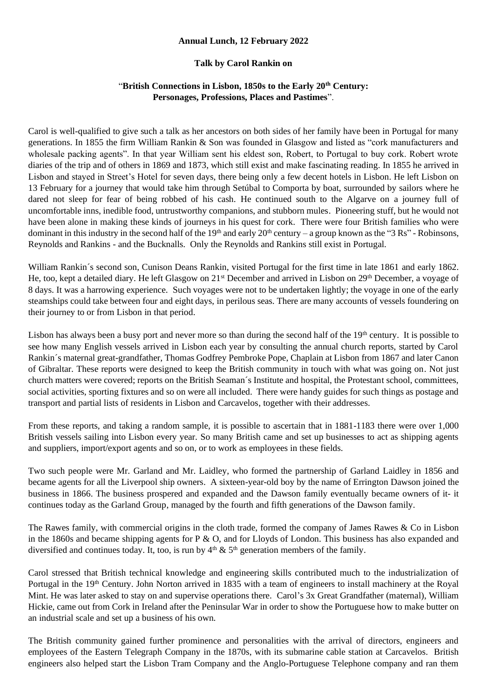## **Annual Lunch, 12 February 2022**

## **Talk by Carol Rankin on**

## "**British Connections in Lisbon, 1850s to the Early 20th Century: Personages, Professions, Places and Pastimes**".

Carol is well-qualified to give such a talk as her ancestors on both sides of her family have been in Portugal for many generations. In 1855 the firm William Rankin & Son was founded in Glasgow and listed as "cork manufacturers and wholesale packing agents". In that year William sent his eldest son, Robert, to Portugal to buy cork. Robert wrote diaries of the trip and of others in 1869 and 1873, which still exist and make fascinating reading. In 1855 he arrived in Lisbon and stayed in Street's Hotel for seven days, there being only a few decent hotels in Lisbon. He left Lisbon on 13 February for a journey that would take him through Setúbal to Comporta by boat, surrounded by sailors where he dared not sleep for fear of being robbed of his cash. He continued south to the Algarve on a journey full of uncomfortable inns, inedible food, untrustworthy companions, and stubborn mules. Pioneering stuff, but he would not have been alone in making these kinds of journeys in his quest for cork. There were four British families who were dominant in this industry in the second half of the 19<sup>th</sup> and early 20<sup>th</sup> century – a group known as the "3 Rs" - Robinsons, Reynolds and Rankins - and the Bucknalls. Only the Reynolds and Rankins still exist in Portugal.

William Rankin´s second son, Cunison Deans Rankin, visited Portugal for the first time in late 1861 and early 1862. He, too, kept a detailed diary. He left Glasgow on 21<sup>st</sup> December and arrived in Lisbon on 29<sup>th</sup> December, a voyage of 8 days. It was a harrowing experience. Such voyages were not to be undertaken lightly; the voyage in one of the early steamships could take between four and eight days, in perilous seas. There are many accounts of vessels foundering on their journey to or from Lisbon in that period.

Lisbon has always been a busy port and never more so than during the second half of the  $19<sup>th</sup>$  century. It is possible to see how many English vessels arrived in Lisbon each year by consulting the annual church reports, started by Carol Rankin´s maternal great-grandfather, Thomas Godfrey Pembroke Pope, Chaplain at Lisbon from 1867 and later Canon of Gibraltar. These reports were designed to keep the British community in touch with what was going on. Not just church matters were covered; reports on the British Seaman´s Institute and hospital, the Protestant school, committees, social activities, sporting fixtures and so on were all included. There were handy guides for such things as postage and transport and partial lists of residents in Lisbon and Carcavelos, together with their addresses.

From these reports, and taking a random sample, it is possible to ascertain that in 1881-1183 there were over 1,000 British vessels sailing into Lisbon every year. So many British came and set up businesses to act as shipping agents and suppliers, import/export agents and so on, or to work as employees in these fields.

Two such people were Mr. Garland and Mr. Laidley, who formed the partnership of Garland Laidley in 1856 and became agents for all the Liverpool ship owners. A sixteen-year-old boy by the name of Errington Dawson joined the business in 1866. The business prospered and expanded and the Dawson family eventually became owners of it- it continues today as the Garland Group, managed by the fourth and fifth generations of the Dawson family.

The Rawes family, with commercial origins in the cloth trade, formed the company of James Rawes & Co in Lisbon in the 1860s and became shipping agents for P & O, and for Lloyds of London. This business has also expanded and diversified and continues today. It, too, is run by  $4<sup>th</sup>$  &  $5<sup>th</sup>$  generation members of the family.

Carol stressed that British technical knowledge and engineering skills contributed much to the industrialization of Portugal in the 19<sup>th</sup> Century. John Norton arrived in 1835 with a team of engineers to install machinery at the Royal Mint. He was later asked to stay on and supervise operations there. Carol's 3x Great Grandfather (maternal), William Hickie, came out from Cork in Ireland after the Peninsular War in order to show the Portuguese how to make butter on an industrial scale and set up a business of his own.

The British community gained further prominence and personalities with the arrival of directors, engineers and employees of the Eastern Telegraph Company in the 1870s, with its submarine cable station at Carcavelos. British engineers also helped start the Lisbon Tram Company and the Anglo-Portuguese Telephone company and ran them